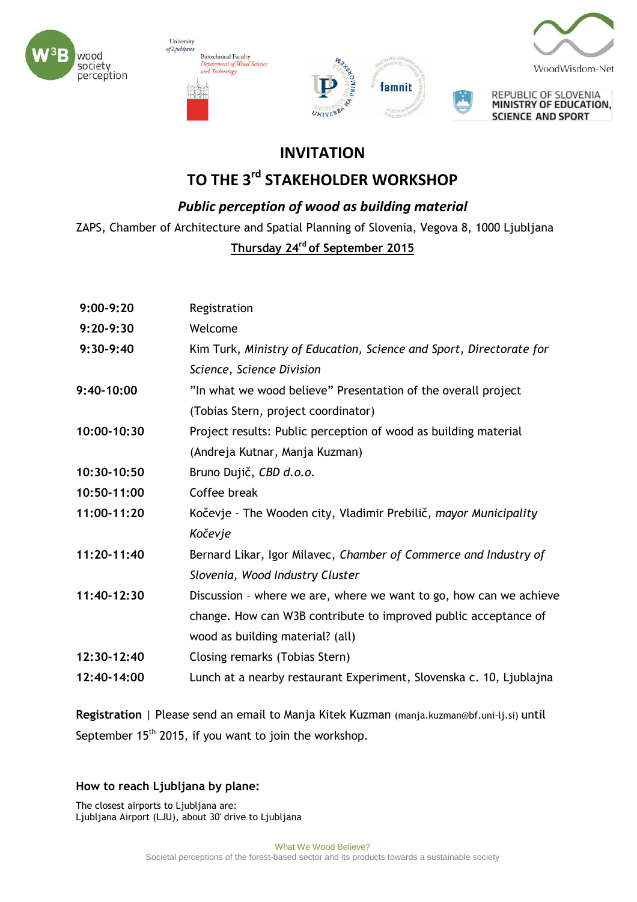







REPUBLIC OF SLOVENIA<br>MINISTRY OF EDUCATION, **SCIENCE AND SPORT** 

## **INVITATION**

# **TO THE 3rd STAKEHOLDER WORKSHOP**

### *Public perception of wood as building material*

ZAPS, Chamber of Architecture and Spatial Planning of Slovenia, Vegova 8, 1000 Ljubljana

### **Thursday 24rd of September 2015**

| $9:00-9:20$ | Registration                                                        |
|-------------|---------------------------------------------------------------------|
| $9:20-9:30$ | Welcome                                                             |
| $9:30-9:40$ | Kim Turk, Ministry of Education, Science and Sport, Directorate for |
|             | Science, Science Division                                           |
| 9:40-10:00  | "In what we wood believe" Presentation of the overall project       |
|             | (Tobias Stern, project coordinator)                                 |
| 10:00-10:30 | Project results: Public perception of wood as building material     |
|             | (Andreja Kutnar, Manja Kuzman)                                      |
| 10:30-10:50 | Bruno Dujič, CBD d.o.o.                                             |
| 10:50-11:00 | Coffee break                                                        |
| 11:00-11:20 | Kočevje - The Wooden city, Vladimir Prebilič, mayor Municipality    |
|             | Kočevje                                                             |
| 11:20-11:40 | Bernard Likar, Igor Milavec, Chamber of Commerce and Industry of    |
|             | Slovenia, Wood Industry Cluster                                     |
| 11:40-12:30 | Discussion - where we are, where we want to go, how can we achieve  |
|             | change. How can W3B contribute to improved public acceptance of     |
|             | wood as building material? (all)                                    |
| 12:30-12:40 | Closing remarks (Tobias Stern)                                      |
| 12:40-14:00 | Lunch at a nearby restaurant Experiment, Slovenska c. 10, Ljublajna |
|             |                                                                     |

**Registration** | Please send an email to Manja Kitek Kuzman (manja.kuzman@bf.uni-lj.si) until September  $15<sup>th</sup>$  2015, if you want to join the workshop.

#### **How to reach Ljubljana by plane:**

The closest airports to Liubliana are: Ljubljana Airport (LJU), about 30' drive to Ljubljana